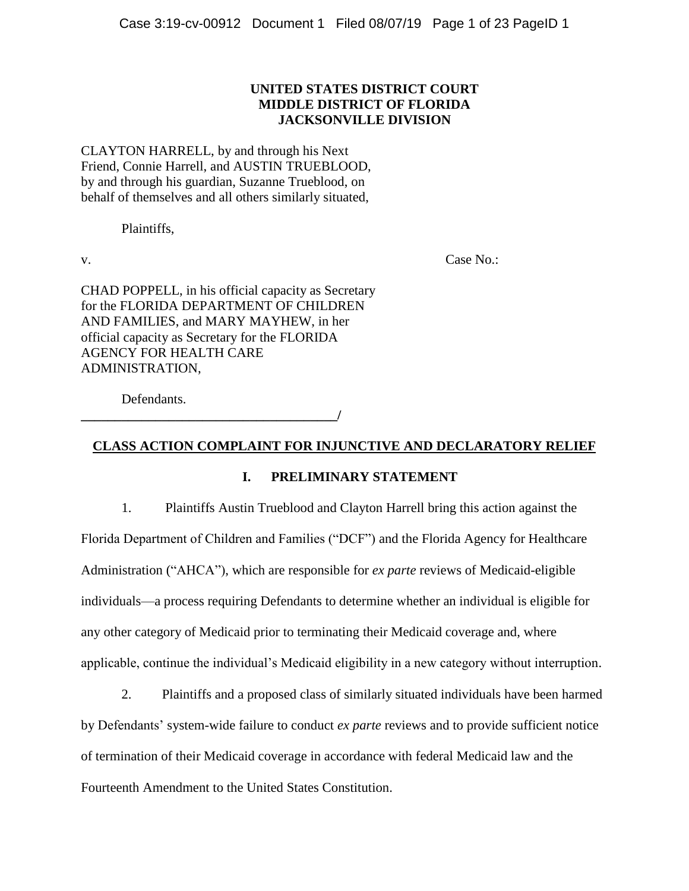## **UNITED STATES DISTRICT COURT MIDDLE DISTRICT OF FLORIDA JACKSONVILLE DIVISION**

CLAYTON HARRELL, by and through his Next Friend, Connie Harrell, and AUSTIN TRUEBLOOD, by and through his guardian, Suzanne Trueblood, on behalf of themselves and all others similarly situated,

Plaintiffs,

v. Case No.:

CHAD POPPELL, in his official capacity as Secretary for the FLORIDA DEPARTMENT OF CHILDREN AND FAMILIES, and MARY MAYHEW, in her official capacity as Secretary for the FLORIDA AGENCY FOR HEALTH CARE ADMINISTRATION,

Defendants.

**\_\_\_\_\_\_\_\_\_\_\_\_\_\_\_\_\_\_\_\_\_\_\_\_\_\_\_\_\_\_\_\_\_\_\_\_\_\_/**

## **CLASS ACTION COMPLAINT FOR INJUNCTIVE AND DECLARATORY RELIEF**

## **I. PRELIMINARY STATEMENT**

1. Plaintiffs Austin Trueblood and Clayton Harrell bring this action against the Florida Department of Children and Families ("DCF") and the Florida Agency for Healthcare Administration ("AHCA"), which are responsible for *ex parte* reviews of Medicaid-eligible individuals—a process requiring Defendants to determine whether an individual is eligible for any other category of Medicaid prior to terminating their Medicaid coverage and, where applicable, continue the individual's Medicaid eligibility in a new category without interruption.

2. Plaintiffs and a proposed class of similarly situated individuals have been harmed by Defendants' system-wide failure to conduct *ex parte* reviews and to provide sufficient notice of termination of their Medicaid coverage in accordance with federal Medicaid law and the Fourteenth Amendment to the United States Constitution.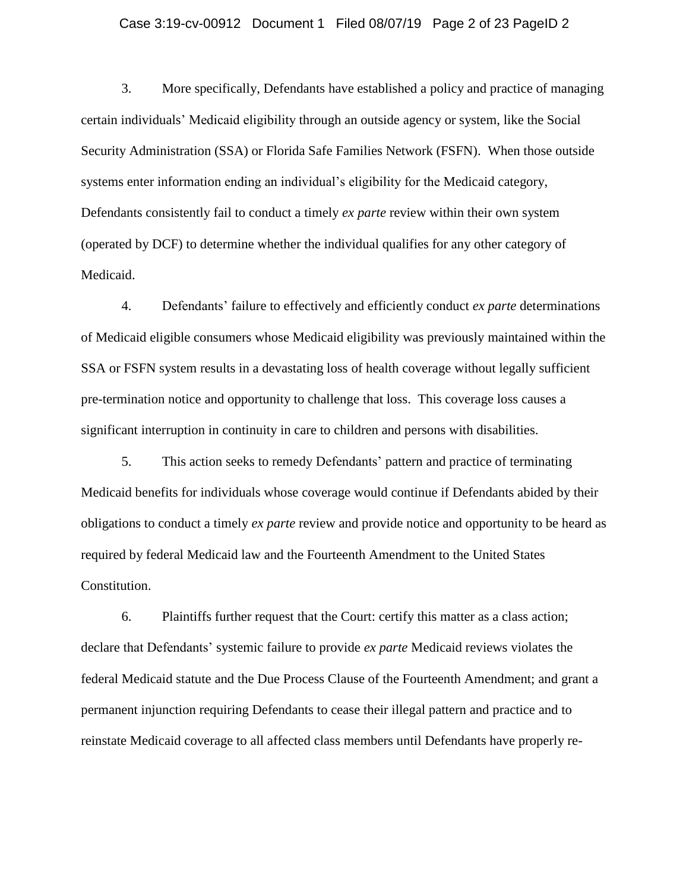#### Case 3:19-cv-00912 Document 1 Filed 08/07/19 Page 2 of 23 PageID 2

3. More specifically, Defendants have established a policy and practice of managing certain individuals' Medicaid eligibility through an outside agency or system, like the Social Security Administration (SSA) or Florida Safe Families Network (FSFN). When those outside systems enter information ending an individual's eligibility for the Medicaid category, Defendants consistently fail to conduct a timely *ex parte* review within their own system (operated by DCF) to determine whether the individual qualifies for any other category of Medicaid.

4. Defendants' failure to effectively and efficiently conduct *ex parte* determinations of Medicaid eligible consumers whose Medicaid eligibility was previously maintained within the SSA or FSFN system results in a devastating loss of health coverage without legally sufficient pre-termination notice and opportunity to challenge that loss. This coverage loss causes a significant interruption in continuity in care to children and persons with disabilities.

5. This action seeks to remedy Defendants' pattern and practice of terminating Medicaid benefits for individuals whose coverage would continue if Defendants abided by their obligations to conduct a timely *ex parte* review and provide notice and opportunity to be heard as required by federal Medicaid law and the Fourteenth Amendment to the United States Constitution.

6. Plaintiffs further request that the Court: certify this matter as a class action; declare that Defendants' systemic failure to provide *ex parte* Medicaid reviews violates the federal Medicaid statute and the Due Process Clause of the Fourteenth Amendment; and grant a permanent injunction requiring Defendants to cease their illegal pattern and practice and to reinstate Medicaid coverage to all affected class members until Defendants have properly re-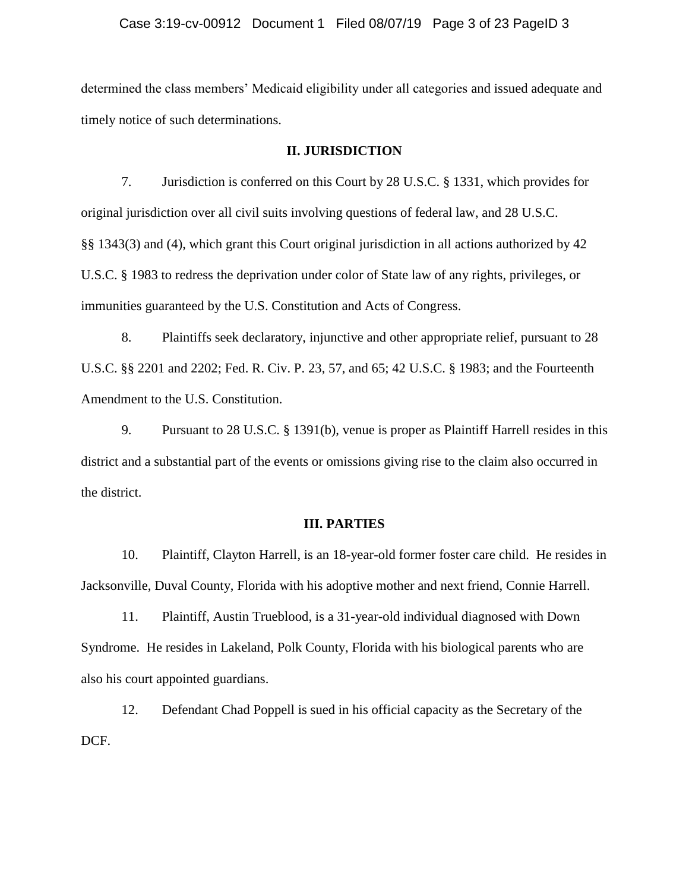#### Case 3:19-cv-00912 Document 1 Filed 08/07/19 Page 3 of 23 PageID 3

determined the class members' Medicaid eligibility under all categories and issued adequate and timely notice of such determinations.

#### **II. JURISDICTION**

7. Jurisdiction is conferred on this Court by 28 U.S.C. § 1331, which provides for original jurisdiction over all civil suits involving questions of federal law, and 28 U.S.C. §§ 1343(3) and (4), which grant this Court original jurisdiction in all actions authorized by 42 U.S.C. § 1983 to redress the deprivation under color of State law of any rights, privileges, or immunities guaranteed by the U.S. Constitution and Acts of Congress.

8. Plaintiffs seek declaratory, injunctive and other appropriate relief, pursuant to 28 U.S.C. §§ 2201 and 2202; Fed. R. Civ. P. 23, 57, and 65; 42 U.S.C. § 1983; and the Fourteenth Amendment to the U.S. Constitution.

9. Pursuant to 28 U.S.C. § 1391(b), venue is proper as Plaintiff Harrell resides in this district and a substantial part of the events or omissions giving rise to the claim also occurred in the district.

#### **III. PARTIES**

10. Plaintiff, Clayton Harrell, is an 18-year-old former foster care child. He resides in Jacksonville, Duval County, Florida with his adoptive mother and next friend, Connie Harrell.

11. Plaintiff, Austin Trueblood, is a 31-year-old individual diagnosed with Down Syndrome. He resides in Lakeland, Polk County, Florida with his biological parents who are also his court appointed guardians.

12. Defendant Chad Poppell is sued in his official capacity as the Secretary of the DCF.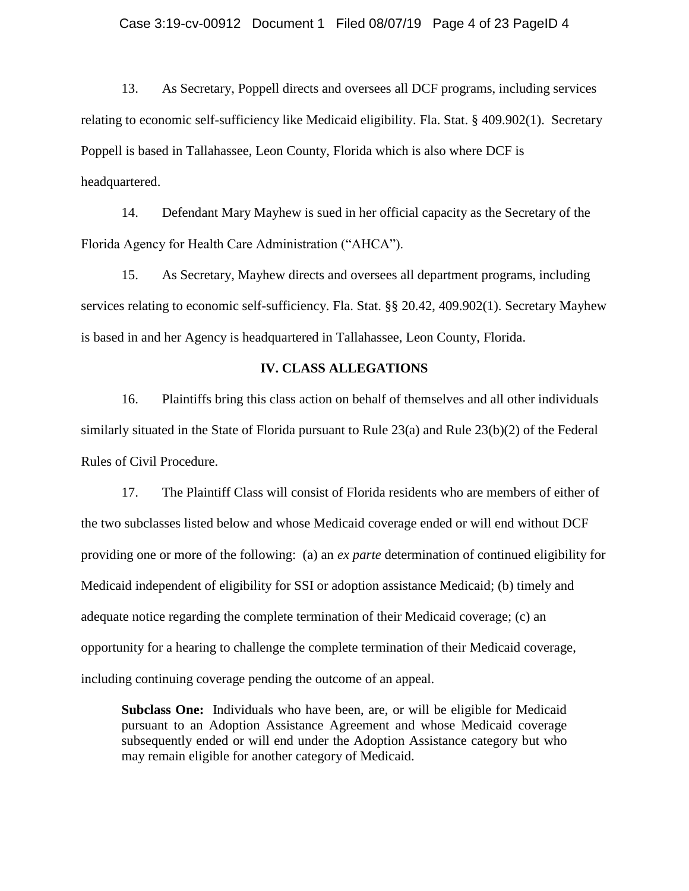13. As Secretary, Poppell directs and oversees all DCF programs, including services relating to economic self-sufficiency like Medicaid eligibility. Fla. Stat. § 409.902(1). Secretary Poppell is based in Tallahassee, Leon County, Florida which is also where DCF is headquartered.

14. Defendant Mary Mayhew is sued in her official capacity as the Secretary of the Florida Agency for Health Care Administration ("AHCA").

15. As Secretary, Mayhew directs and oversees all department programs, including services relating to economic self-sufficiency. Fla. Stat. §§ 20.42, 409.902(1). Secretary Mayhew is based in and her Agency is headquartered in Tallahassee, Leon County, Florida.

### **IV. CLASS ALLEGATIONS**

16. Plaintiffs bring this class action on behalf of themselves and all other individuals similarly situated in the State of Florida pursuant to Rule 23(a) and Rule 23(b)(2) of the Federal Rules of Civil Procedure.

17. The Plaintiff Class will consist of Florida residents who are members of either of the two subclasses listed below and whose Medicaid coverage ended or will end without DCF providing one or more of the following: (a) an *ex parte* determination of continued eligibility for Medicaid independent of eligibility for SSI or adoption assistance Medicaid; (b) timely and adequate notice regarding the complete termination of their Medicaid coverage; (c) an opportunity for a hearing to challenge the complete termination of their Medicaid coverage, including continuing coverage pending the outcome of an appeal.

**Subclass One:** Individuals who have been, are, or will be eligible for Medicaid pursuant to an Adoption Assistance Agreement and whose Medicaid coverage subsequently ended or will end under the Adoption Assistance category but who may remain eligible for another category of Medicaid.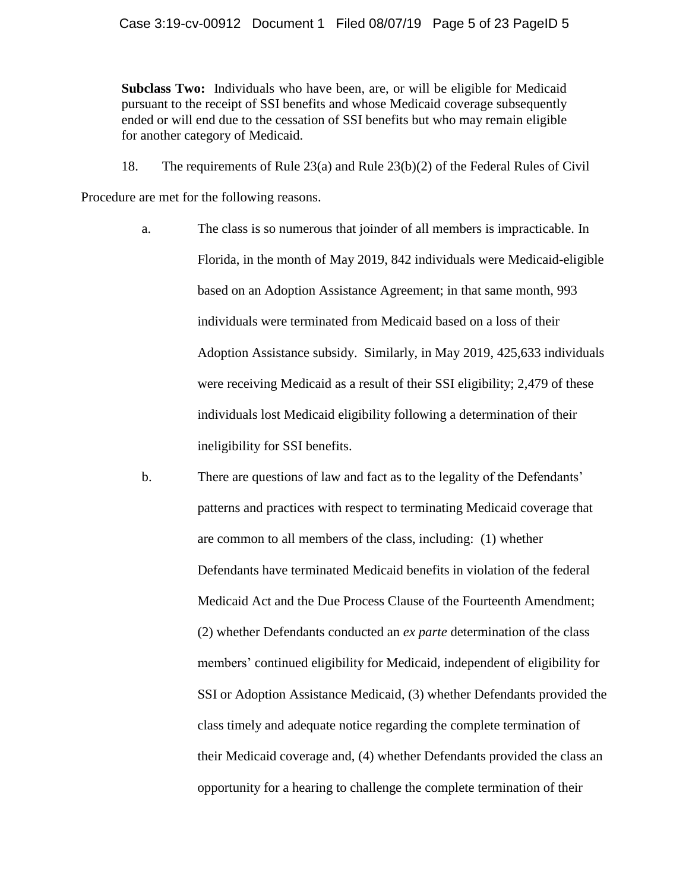**Subclass Two:** Individuals who have been, are, or will be eligible for Medicaid pursuant to the receipt of SSI benefits and whose Medicaid coverage subsequently ended or will end due to the cessation of SSI benefits but who may remain eligible for another category of Medicaid.

18. The requirements of Rule 23(a) and Rule 23(b)(2) of the Federal Rules of Civil

Procedure are met for the following reasons.

- a. The class is so numerous that joinder of all members is impracticable. In Florida, in the month of May 2019, 842 individuals were Medicaid-eligible based on an Adoption Assistance Agreement; in that same month, 993 individuals were terminated from Medicaid based on a loss of their Adoption Assistance subsidy. Similarly, in May 2019, 425,633 individuals were receiving Medicaid as a result of their SSI eligibility; 2,479 of these individuals lost Medicaid eligibility following a determination of their ineligibility for SSI benefits.
- b. There are questions of law and fact as to the legality of the Defendants' patterns and practices with respect to terminating Medicaid coverage that are common to all members of the class, including: (1) whether Defendants have terminated Medicaid benefits in violation of the federal Medicaid Act and the Due Process Clause of the Fourteenth Amendment; (2) whether Defendants conducted an *ex parte* determination of the class members' continued eligibility for Medicaid, independent of eligibility for SSI or Adoption Assistance Medicaid, (3) whether Defendants provided the class timely and adequate notice regarding the complete termination of their Medicaid coverage and, (4) whether Defendants provided the class an opportunity for a hearing to challenge the complete termination of their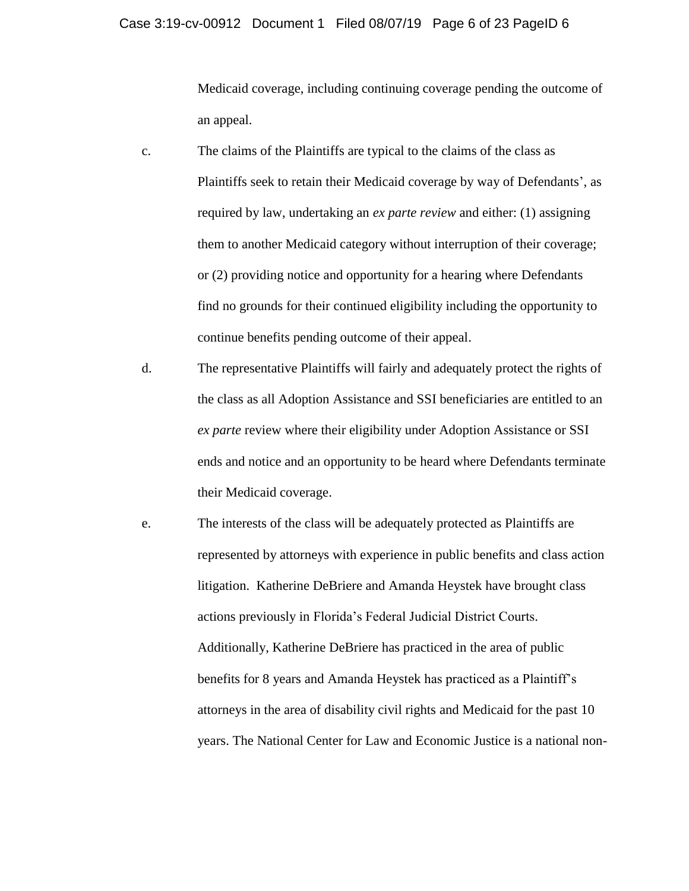#### Case 3:19-cv-00912 Document 1 Filed 08/07/19 Page 6 of 23 PageID 6

Medicaid coverage, including continuing coverage pending the outcome of an appeal.

- c. The claims of the Plaintiffs are typical to the claims of the class as Plaintiffs seek to retain their Medicaid coverage by way of Defendants', as required by law, undertaking an *ex parte review* and either: (1) assigning them to another Medicaid category without interruption of their coverage; or (2) providing notice and opportunity for a hearing where Defendants find no grounds for their continued eligibility including the opportunity to continue benefits pending outcome of their appeal.
- d. The representative Plaintiffs will fairly and adequately protect the rights of the class as all Adoption Assistance and SSI beneficiaries are entitled to an *ex parte* review where their eligibility under Adoption Assistance or SSI ends and notice and an opportunity to be heard where Defendants terminate their Medicaid coverage.
- e. The interests of the class will be adequately protected as Plaintiffs are represented by attorneys with experience in public benefits and class action litigation. Katherine DeBriere and Amanda Heystek have brought class actions previously in Florida's Federal Judicial District Courts. Additionally, Katherine DeBriere has practiced in the area of public benefits for 8 years and Amanda Heystek has practiced as a Plaintiff's attorneys in the area of disability civil rights and Medicaid for the past 10 years. The National Center for Law and Economic Justice is a national non-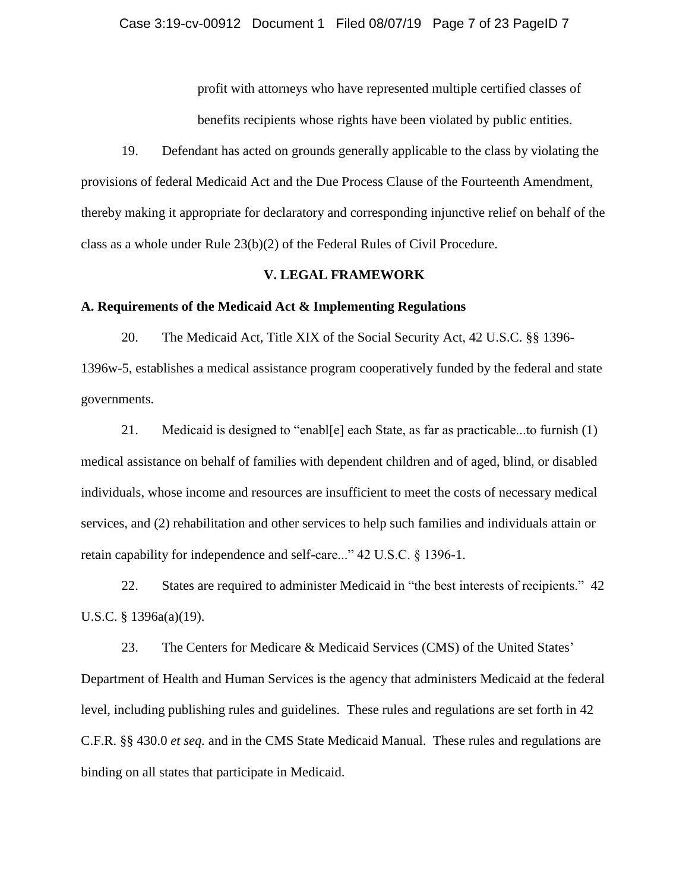profit with attorneys who have represented multiple certified classes of benefits recipients whose rights have been violated by public entities.

19. Defendant has acted on grounds generally applicable to the class by violating the provisions of federal Medicaid Act and the Due Process Clause of the Fourteenth Amendment, thereby making it appropriate for declaratory and corresponding injunctive relief on behalf of the class as a whole under Rule 23(b)(2) of the Federal Rules of Civil Procedure.

#### **V. LEGAL FRAMEWORK**

## **A. Requirements of the Medicaid Act & Implementing Regulations**

20. The Medicaid Act, Title XIX of the Social Security Act, 42 U.S.C. §§ 1396- 1396w-5, establishes a medical assistance program cooperatively funded by the federal and state governments.

21. Medicaid is designed to "enabl[e] each State, as far as practicable...to furnish (1) medical assistance on behalf of families with dependent children and of aged, blind, or disabled individuals, whose income and resources are insufficient to meet the costs of necessary medical services, and (2) rehabilitation and other services to help such families and individuals attain or retain capability for independence and self-care..." 42 U.S.C. § 1396-1.

22. States are required to administer Medicaid in "the best interests of recipients." 42 U.S.C. § 1396a(a)(19).

23. The Centers for Medicare & Medicaid Services (CMS) of the United States' Department of Health and Human Services is the agency that administers Medicaid at the federal level, including publishing rules and guidelines. These rules and regulations are set forth in 42 C.F.R. §§ 430.0 *et seq.* and in the CMS State Medicaid Manual. These rules and regulations are binding on all states that participate in Medicaid.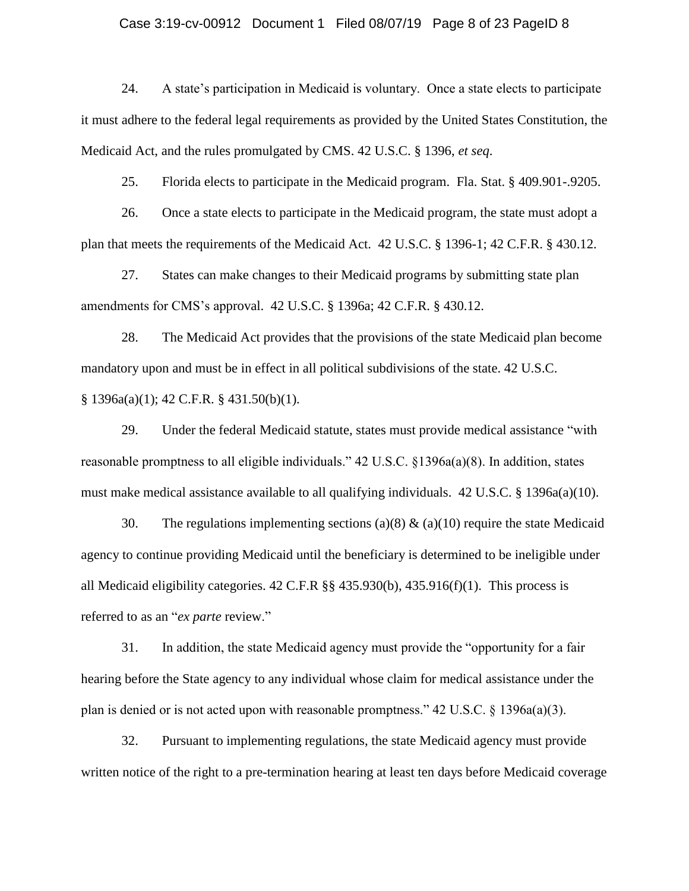#### Case 3:19-cv-00912 Document 1 Filed 08/07/19 Page 8 of 23 PageID 8

24. A state's participation in Medicaid is voluntary. Once a state elects to participate it must adhere to the federal legal requirements as provided by the United States Constitution, the Medicaid Act, and the rules promulgated by CMS. 42 U.S.C. § 1396, *et seq*.

25. Florida elects to participate in the Medicaid program. Fla. Stat. § 409.901-.9205.

26. Once a state elects to participate in the Medicaid program, the state must adopt a plan that meets the requirements of the Medicaid Act. 42 U.S.C. § 1396-1; 42 C.F.R. § 430.12.

27. States can make changes to their Medicaid programs by submitting state plan amendments for CMS's approval. 42 U.S.C. § 1396a; 42 C.F.R. § 430.12.

28. The Medicaid Act provides that the provisions of the state Medicaid plan become mandatory upon and must be in effect in all political subdivisions of the state. 42 U.S.C. § 1396a(a)(1); 42 C.F.R. § 431.50(b)(1).

29. Under the federal Medicaid statute, states must provide medical assistance "with reasonable promptness to all eligible individuals." 42 U.S.C. §1396a(a)(8). In addition, states must make medical assistance available to all qualifying individuals. 42 U.S.C. § 1396a(a)(10).

30. The regulations implementing sections (a)(8)  $\&$  (a)(10) require the state Medicaid agency to continue providing Medicaid until the beneficiary is determined to be ineligible under all Medicaid eligibility categories.  $42$  C.F.R  $\S$ §  $435.930(b)$ ,  $435.916(f)(1)$ . This process is referred to as an "*ex parte* review."

31. In addition, the state Medicaid agency must provide the "opportunity for a fair hearing before the State agency to any individual whose claim for medical assistance under the plan is denied or is not acted upon with reasonable promptness."  $42 \text{ U.S.C.}$  § 1396a(a)(3).

32. Pursuant to implementing regulations, the state Medicaid agency must provide written notice of the right to a pre-termination hearing at least ten days before Medicaid coverage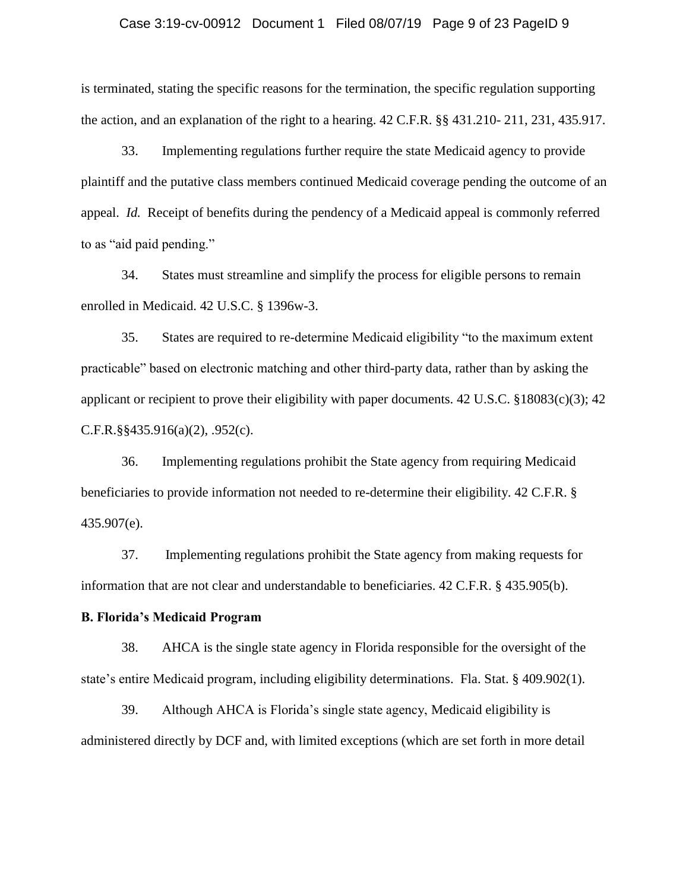#### Case 3:19-cv-00912 Document 1 Filed 08/07/19 Page 9 of 23 PageID 9

is terminated, stating the specific reasons for the termination, the specific regulation supporting the action, and an explanation of the right to a hearing. 42 C.F.R. §§ 431.210- 211, 231, 435.917.

33. Implementing regulations further require the state Medicaid agency to provide plaintiff and the putative class members continued Medicaid coverage pending the outcome of an appeal. *Id.* Receipt of benefits during the pendency of a Medicaid appeal is commonly referred to as "aid paid pending."

34. States must streamline and simplify the process for eligible persons to remain enrolled in Medicaid. 42 U.S.C. § 1396w-3.

35. States are required to re-determine Medicaid eligibility "to the maximum extent practicable" based on electronic matching and other third-party data, rather than by asking the applicant or recipient to prove their eligibility with paper documents. 42 U.S.C. §18083(c)(3); 42 C.F.R.§§435.916(a)(2), .952(c).

36. Implementing regulations prohibit the State agency from requiring Medicaid beneficiaries to provide information not needed to re-determine their eligibility. 42 C.F.R. § 435.907(e).

37. Implementing regulations prohibit the State agency from making requests for information that are not clear and understandable to beneficiaries. 42 C.F.R. § 435.905(b).

### **B. Florida's Medicaid Program**

38. AHCA is the single state agency in Florida responsible for the oversight of the state's entire Medicaid program, including eligibility determinations. Fla. Stat. § 409.902(1).

39. Although AHCA is Florida's single state agency, Medicaid eligibility is administered directly by DCF and, with limited exceptions (which are set forth in more detail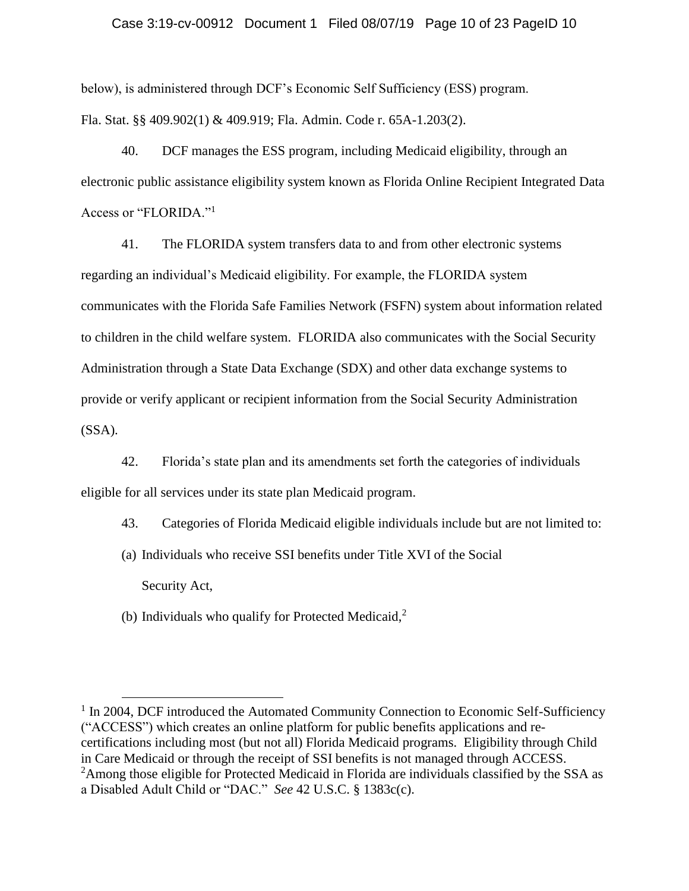### Case 3:19-cv-00912 Document 1 Filed 08/07/19 Page 10 of 23 PageID 10

below), is administered through DCF's Economic Self Sufficiency (ESS) program. Fla. Stat. §§ 409.902(1) & 409.919; Fla. Admin. Code r. 65A-1.203(2).

40. DCF manages the ESS program, including Medicaid eligibility, through an electronic public assistance eligibility system known as Florida Online Recipient Integrated Data Access or "FLORIDA."<sup>1</sup>

41. The FLORIDA system transfers data to and from other electronic systems regarding an individual's Medicaid eligibility. For example, the FLORIDA system communicates with the Florida Safe Families Network (FSFN) system about information related to children in the child welfare system. FLORIDA also communicates with the Social Security Administration through a State Data Exchange (SDX) and other data exchange systems to provide or verify applicant or recipient information from the Social Security Administration  $(SSA)$ .

42. Florida's state plan and its amendments set forth the categories of individuals eligible for all services under its state plan Medicaid program.

43. Categories of Florida Medicaid eligible individuals include but are not limited to:

- (a) Individuals who receive SSI benefits under Title XVI of the Social Security Act,
- (b) Individuals who qualify for Protected Medicaid, $2$

 $\overline{\phantom{a}}$ 

<sup>&</sup>lt;sup>1</sup> In 2004, DCF introduced the Automated Community Connection to Economic Self-Sufficiency ("ACCESS") which creates an online platform for public benefits applications and recertifications including most (but not all) Florida Medicaid programs. Eligibility through Child in Care Medicaid or through the receipt of SSI benefits is not managed through ACCESS. <sup>2</sup>Among those eligible for Protected Medicaid in Florida are individuals classified by the SSA as a Disabled Adult Child or "DAC." *See* 42 U.S.C. § 1383c(c).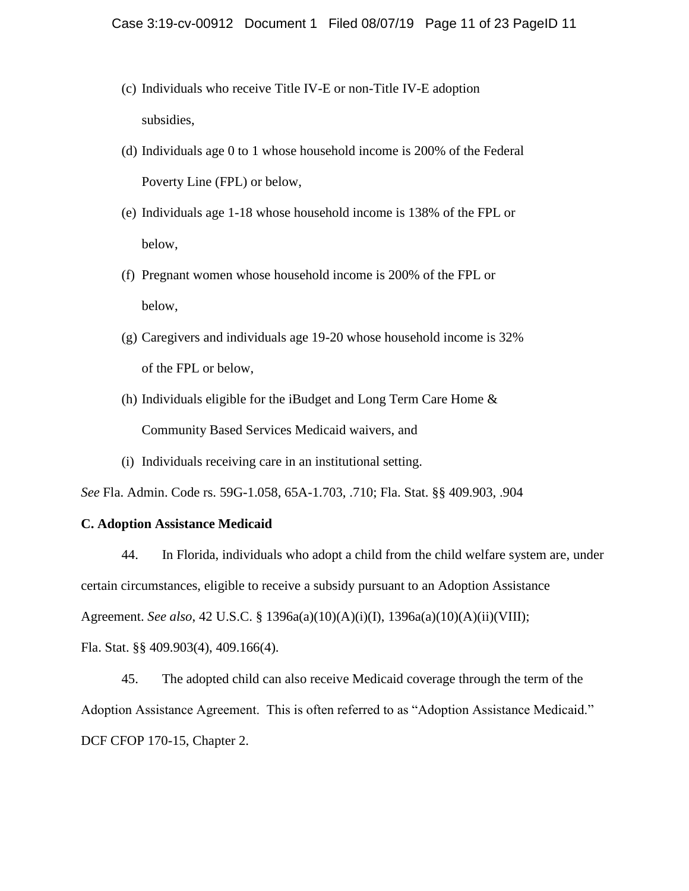- (c) Individuals who receive Title IV-E or non-Title IV-E adoption subsidies,
- (d) Individuals age 0 to 1 whose household income is 200% of the Federal Poverty Line (FPL) or below,
- (e) Individuals age 1-18 whose household income is 138% of the FPL or below,
- (f) Pregnant women whose household income is 200% of the FPL or below,
- (g) Caregivers and individuals age 19-20 whose household income is 32% of the FPL or below,
- (h) Individuals eligible for the iBudget and Long Term Care Home & Community Based Services Medicaid waivers, and
- (i) Individuals receiving care in an institutional setting.

*See* Fla. Admin. Code rs. 59G-1.058, 65A-1.703, .710; Fla. Stat. §§ 409.903, .904

### **C. Adoption Assistance Medicaid**

44. In Florida, individuals who adopt a child from the child welfare system are, under certain circumstances, eligible to receive a subsidy pursuant to an Adoption Assistance Agreement. *See also*, 42 U.S.C. § 1396a(a)(10)(A)(i)(I), 1396a(a)(10)(A)(ii)(VIII); Fla. Stat. §§ 409.903(4), 409.166(4).

45. The adopted child can also receive Medicaid coverage through the term of the Adoption Assistance Agreement. This is often referred to as "Adoption Assistance Medicaid." DCF CFOP 170-15, Chapter 2.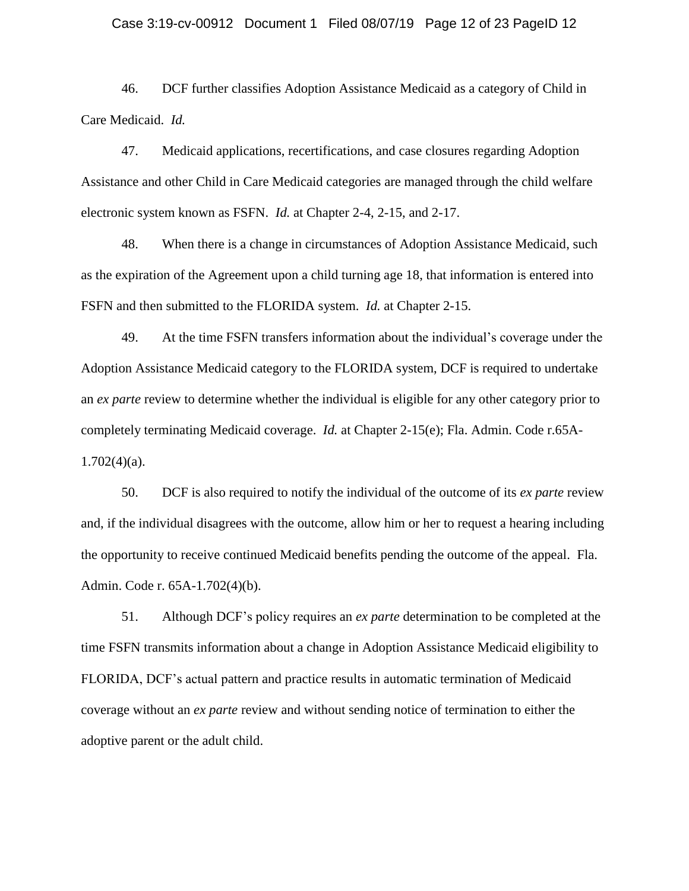#### Case 3:19-cv-00912 Document 1 Filed 08/07/19 Page 12 of 23 PageID 12

46. DCF further classifies Adoption Assistance Medicaid as a category of Child in Care Medicaid. *Id.* 

47. Medicaid applications, recertifications, and case closures regarding Adoption Assistance and other Child in Care Medicaid categories are managed through the child welfare electronic system known as FSFN. *Id.* at Chapter 2-4, 2-15, and 2-17.

48. When there is a change in circumstances of Adoption Assistance Medicaid, such as the expiration of the Agreement upon a child turning age 18, that information is entered into FSFN and then submitted to the FLORIDA system. *Id.* at Chapter 2-15.

49. At the time FSFN transfers information about the individual's coverage under the Adoption Assistance Medicaid category to the FLORIDA system, DCF is required to undertake an *ex parte* review to determine whether the individual is eligible for any other category prior to completely terminating Medicaid coverage. *Id.* at Chapter 2-15(e); Fla. Admin. Code r.65A- $1.702(4)(a)$ .

50. DCF is also required to notify the individual of the outcome of its *ex parte* review and, if the individual disagrees with the outcome, allow him or her to request a hearing including the opportunity to receive continued Medicaid benefits pending the outcome of the appeal. Fla. Admin. Code r. 65A-1.702(4)(b).

51. Although DCF's policy requires an *ex parte* determination to be completed at the time FSFN transmits information about a change in Adoption Assistance Medicaid eligibility to FLORIDA, DCF's actual pattern and practice results in automatic termination of Medicaid coverage without an *ex parte* review and without sending notice of termination to either the adoptive parent or the adult child.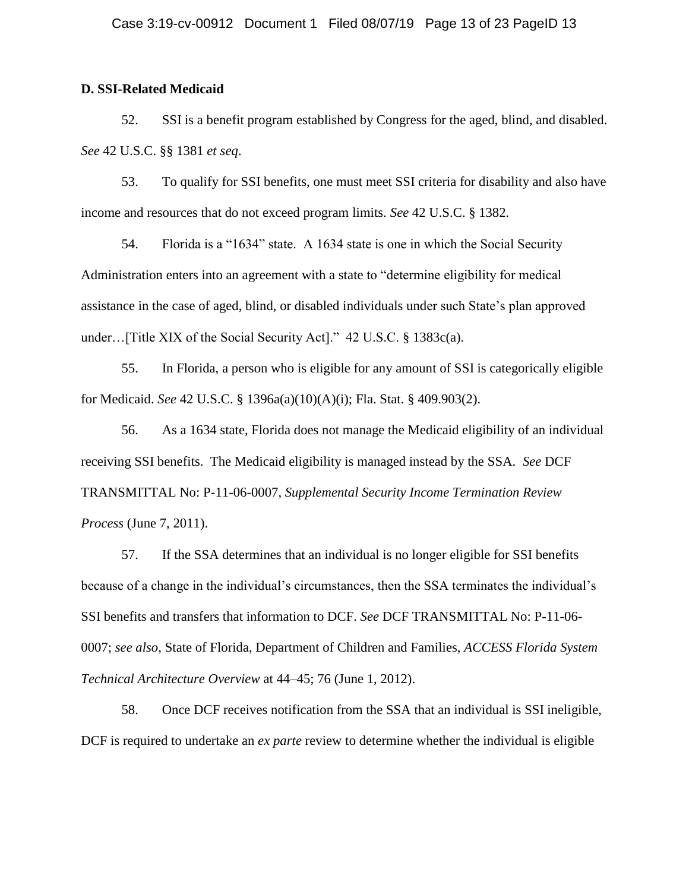### **D. SSI-Related Medicaid**

52. SSI is a benefit program established by Congress for the aged, blind, and disabled. *See* 42 U.S.C. §§ 1381 *et seq*.

53. To qualify for SSI benefits, one must meet SSI criteria for disability and also have income and resources that do not exceed program limits. *See* 42 U.S.C. § 1382.

54. Florida is a "1634" state. A 1634 state is one in which the Social Security Administration enters into an agreement with a state to "determine eligibility for medical assistance in the case of aged, blind, or disabled individuals under such State's plan approved under…[Title XIX of the Social Security Act]." 42 U.S.C. § 1383c(a).

55. In Florida, a person who is eligible for any amount of SSI is categorically eligible for Medicaid. *See* 42 U.S.C. § 1396a(a)(10)(A)(i); Fla. Stat. § 409.903(2).

56. As a 1634 state, Florida does not manage the Medicaid eligibility of an individual receiving SSI benefits. The Medicaid eligibility is managed instead by the SSA. *See* DCF TRANSMITTAL No: P-11-06-0007, *Supplemental Security Income Termination Review Process* (June 7, 2011).

57. If the SSA determines that an individual is no longer eligible for SSI benefits because of a change in the individual's circumstances, then the SSA terminates the individual's SSI benefits and transfers that information to DCF. *See* DCF TRANSMITTAL No: P-11-06- 0007; *see also*, State of Florida, Department of Children and Families, *ACCESS Florida System Technical Architecture Overview* at 44–45; 76 (June 1, 2012).

58. Once DCF receives notification from the SSA that an individual is SSI ineligible, DCF is required to undertake an *ex parte* review to determine whether the individual is eligible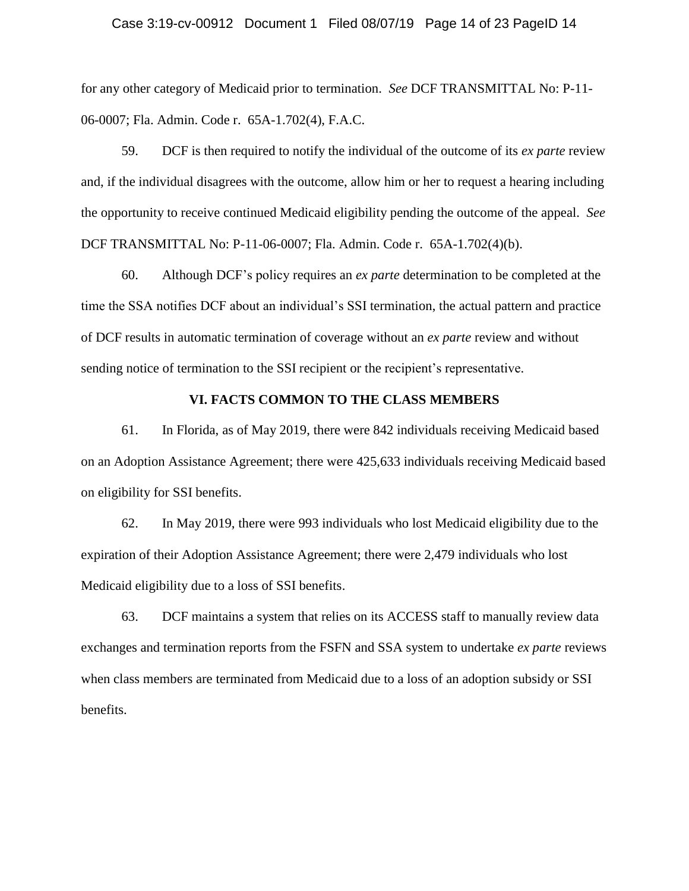#### Case 3:19-cv-00912 Document 1 Filed 08/07/19 Page 14 of 23 PageID 14

for any other category of Medicaid prior to termination. *See* DCF TRANSMITTAL No: P-11- 06-0007; Fla. Admin. Code r. 65A-1.702(4), F.A.C.

59. DCF is then required to notify the individual of the outcome of its *ex parte* review and, if the individual disagrees with the outcome, allow him or her to request a hearing including the opportunity to receive continued Medicaid eligibility pending the outcome of the appeal. *See*  DCF TRANSMITTAL No: P-11-06-0007; Fla. Admin. Code r. 65A-1.702(4)(b).

60. Although DCF's policy requires an *ex parte* determination to be completed at the time the SSA notifies DCF about an individual's SSI termination, the actual pattern and practice of DCF results in automatic termination of coverage without an *ex parte* review and without sending notice of termination to the SSI recipient or the recipient's representative.

### **VI. FACTS COMMON TO THE CLASS MEMBERS**

61. In Florida, as of May 2019, there were 842 individuals receiving Medicaid based on an Adoption Assistance Agreement; there were 425,633 individuals receiving Medicaid based on eligibility for SSI benefits.

62. In May 2019, there were 993 individuals who lost Medicaid eligibility due to the expiration of their Adoption Assistance Agreement; there were 2,479 individuals who lost Medicaid eligibility due to a loss of SSI benefits.

63. DCF maintains a system that relies on its ACCESS staff to manually review data exchanges and termination reports from the FSFN and SSA system to undertake *ex parte* reviews when class members are terminated from Medicaid due to a loss of an adoption subsidy or SSI benefits.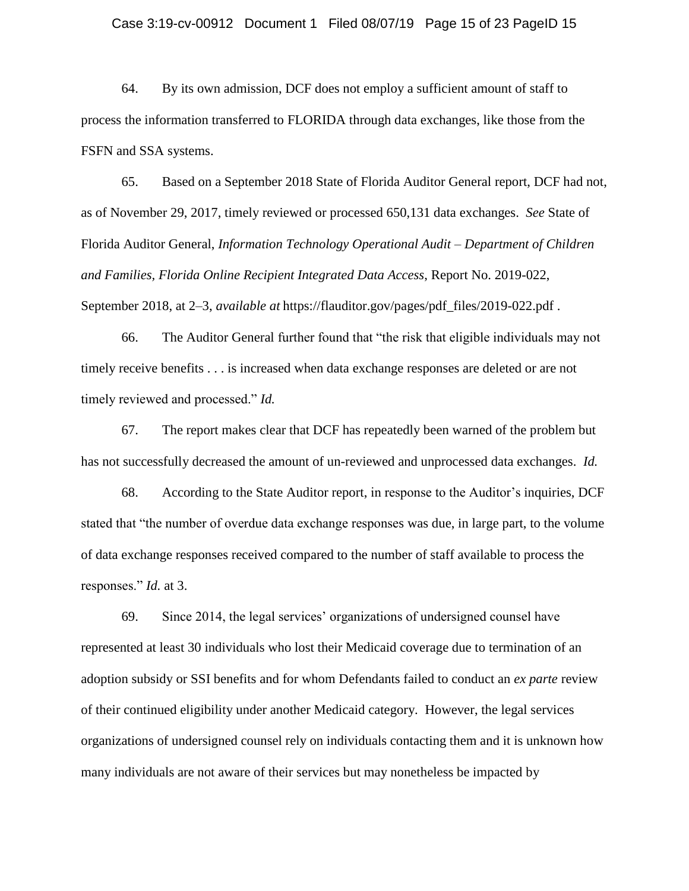#### Case 3:19-cv-00912 Document 1 Filed 08/07/19 Page 15 of 23 PageID 15

64. By its own admission, DCF does not employ a sufficient amount of staff to process the information transferred to FLORIDA through data exchanges, like those from the FSFN and SSA systems.

65. Based on a September 2018 State of Florida Auditor General report, DCF had not, as of November 29, 2017, timely reviewed or processed 650,131 data exchanges. *See* State of Florida Auditor General, *Information Technology Operational Audit – Department of Children and Families, Florida Online Recipient Integrated Data Access*, Report No. 2019-022, September 2018, at 2–3, *available at* https://flauditor.gov/pages/pdf\_files/2019-022.pdf .

66. The Auditor General further found that "the risk that eligible individuals may not timely receive benefits . . . is increased when data exchange responses are deleted or are not timely reviewed and processed." *Id.* 

67. The report makes clear that DCF has repeatedly been warned of the problem but has not successfully decreased the amount of un-reviewed and unprocessed data exchanges. *Id.* 

68. According to the State Auditor report, in response to the Auditor's inquiries, DCF stated that "the number of overdue data exchange responses was due, in large part, to the volume of data exchange responses received compared to the number of staff available to process the responses." *Id.* at 3.

69. Since 2014, the legal services' organizations of undersigned counsel have represented at least 30 individuals who lost their Medicaid coverage due to termination of an adoption subsidy or SSI benefits and for whom Defendants failed to conduct an *ex parte* review of their continued eligibility under another Medicaid category. However, the legal services organizations of undersigned counsel rely on individuals contacting them and it is unknown how many individuals are not aware of their services but may nonetheless be impacted by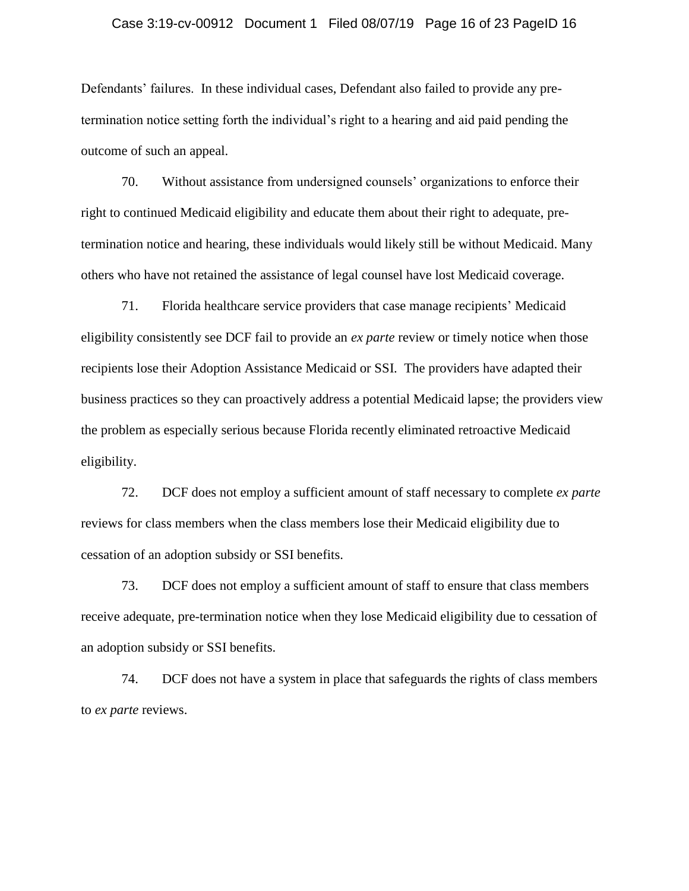#### Case 3:19-cv-00912 Document 1 Filed 08/07/19 Page 16 of 23 PageID 16

Defendants' failures. In these individual cases, Defendant also failed to provide any pretermination notice setting forth the individual's right to a hearing and aid paid pending the outcome of such an appeal.

70. Without assistance from undersigned counsels' organizations to enforce their right to continued Medicaid eligibility and educate them about their right to adequate, pretermination notice and hearing, these individuals would likely still be without Medicaid. Many others who have not retained the assistance of legal counsel have lost Medicaid coverage.

71. Florida healthcare service providers that case manage recipients' Medicaid eligibility consistently see DCF fail to provide an *ex parte* review or timely notice when those recipients lose their Adoption Assistance Medicaid or SSI. The providers have adapted their business practices so they can proactively address a potential Medicaid lapse; the providers view the problem as especially serious because Florida recently eliminated retroactive Medicaid eligibility.

72. DCF does not employ a sufficient amount of staff necessary to complete *ex parte* reviews for class members when the class members lose their Medicaid eligibility due to cessation of an adoption subsidy or SSI benefits.

73. DCF does not employ a sufficient amount of staff to ensure that class members receive adequate, pre-termination notice when they lose Medicaid eligibility due to cessation of an adoption subsidy or SSI benefits.

74. DCF does not have a system in place that safeguards the rights of class members to *ex parte* reviews.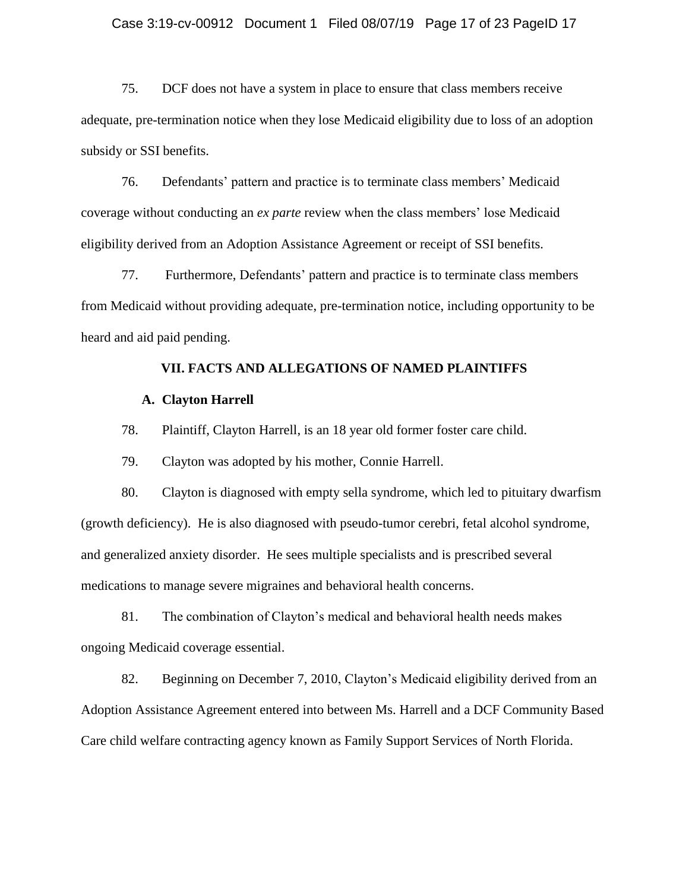#### Case 3:19-cv-00912 Document 1 Filed 08/07/19 Page 17 of 23 PageID 17

75. DCF does not have a system in place to ensure that class members receive adequate, pre-termination notice when they lose Medicaid eligibility due to loss of an adoption subsidy or SSI benefits.

76. Defendants' pattern and practice is to terminate class members' Medicaid coverage without conducting an *ex parte* review when the class members' lose Medicaid eligibility derived from an Adoption Assistance Agreement or receipt of SSI benefits.

77. Furthermore, Defendants' pattern and practice is to terminate class members from Medicaid without providing adequate, pre-termination notice, including opportunity to be heard and aid paid pending.

### **VII. FACTS AND ALLEGATIONS OF NAMED PLAINTIFFS**

#### **A. Clayton Harrell**

78. Plaintiff, Clayton Harrell, is an 18 year old former foster care child.

79. Clayton was adopted by his mother, Connie Harrell.

80. Clayton is diagnosed with empty sella syndrome, which led to pituitary dwarfism (growth deficiency). He is also diagnosed with pseudo-tumor cerebri, fetal alcohol syndrome, and generalized anxiety disorder. He sees multiple specialists and is prescribed several medications to manage severe migraines and behavioral health concerns.

81. The combination of Clayton's medical and behavioral health needs makes ongoing Medicaid coverage essential.

82. Beginning on December 7, 2010, Clayton's Medicaid eligibility derived from an Adoption Assistance Agreement entered into between Ms. Harrell and a DCF Community Based Care child welfare contracting agency known as Family Support Services of North Florida.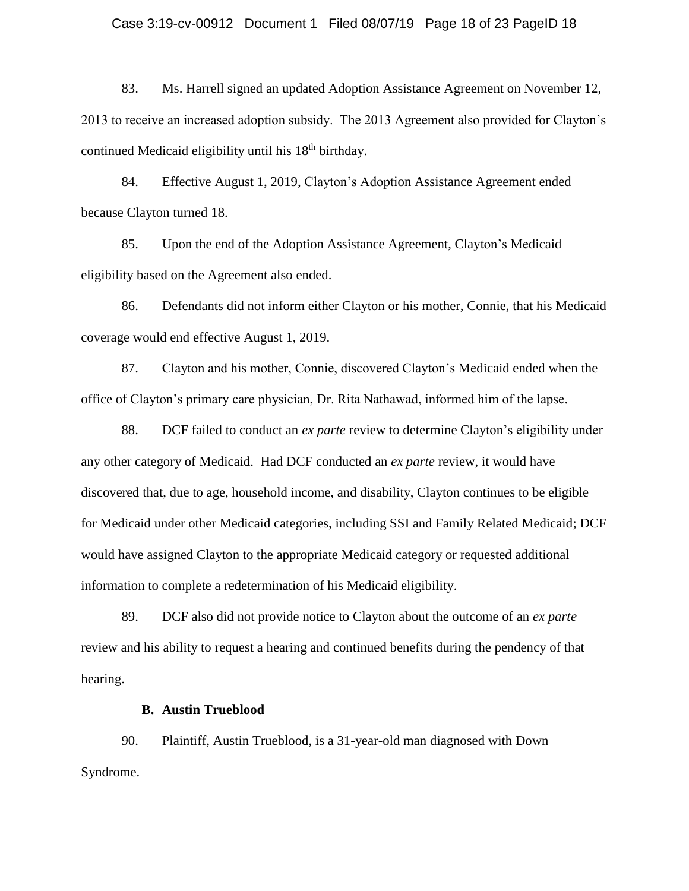#### Case 3:19-cv-00912 Document 1 Filed 08/07/19 Page 18 of 23 PageID 18

83. Ms. Harrell signed an updated Adoption Assistance Agreement on November 12, 2013 to receive an increased adoption subsidy. The 2013 Agreement also provided for Clayton's continued Medicaid eligibility until his 18<sup>th</sup> birthday.

84. Effective August 1, 2019, Clayton's Adoption Assistance Agreement ended because Clayton turned 18.

85. Upon the end of the Adoption Assistance Agreement, Clayton's Medicaid eligibility based on the Agreement also ended.

86. Defendants did not inform either Clayton or his mother, Connie, that his Medicaid coverage would end effective August 1, 2019.

87. Clayton and his mother, Connie, discovered Clayton's Medicaid ended when the office of Clayton's primary care physician, Dr. Rita Nathawad, informed him of the lapse.

88. DCF failed to conduct an *ex parte* review to determine Clayton's eligibility under any other category of Medicaid. Had DCF conducted an *ex parte* review, it would have discovered that, due to age, household income, and disability, Clayton continues to be eligible for Medicaid under other Medicaid categories, including SSI and Family Related Medicaid; DCF would have assigned Clayton to the appropriate Medicaid category or requested additional information to complete a redetermination of his Medicaid eligibility.

89. DCF also did not provide notice to Clayton about the outcome of an *ex parte* review and his ability to request a hearing and continued benefits during the pendency of that hearing.

### **B. Austin Trueblood**

90. Plaintiff, Austin Trueblood, is a 31-year-old man diagnosed with Down Syndrome.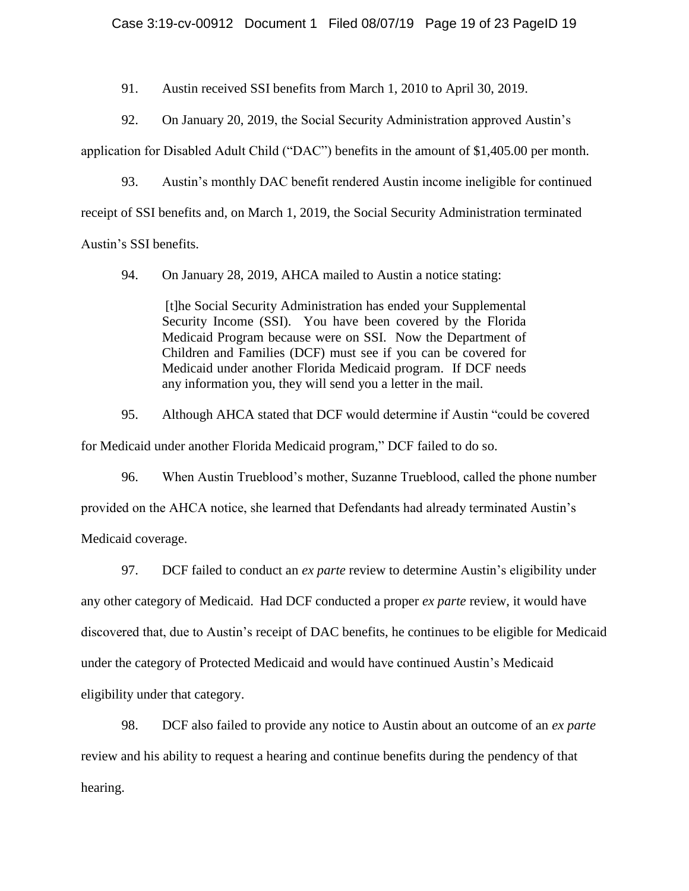91. Austin received SSI benefits from March 1, 2010 to April 30, 2019.

92. On January 20, 2019, the Social Security Administration approved Austin's

application for Disabled Adult Child ("DAC") benefits in the amount of \$1,405.00 per month.

93. Austin's monthly DAC benefit rendered Austin income ineligible for continued receipt of SSI benefits and, on March 1, 2019, the Social Security Administration terminated Austin's SSI benefits.

94. On January 28, 2019, AHCA mailed to Austin a notice stating:

[t]he Social Security Administration has ended your Supplemental Security Income (SSI). You have been covered by the Florida Medicaid Program because were on SSI. Now the Department of Children and Families (DCF) must see if you can be covered for Medicaid under another Florida Medicaid program. If DCF needs any information you, they will send you a letter in the mail.

95. Although AHCA stated that DCF would determine if Austin "could be covered

for Medicaid under another Florida Medicaid program," DCF failed to do so.

96. When Austin Trueblood's mother, Suzanne Trueblood, called the phone number provided on the AHCA notice, she learned that Defendants had already terminated Austin's Medicaid coverage.

97. DCF failed to conduct an *ex parte* review to determine Austin's eligibility under any other category of Medicaid. Had DCF conducted a proper *ex parte* review, it would have discovered that, due to Austin's receipt of DAC benefits, he continues to be eligible for Medicaid under the category of Protected Medicaid and would have continued Austin's Medicaid eligibility under that category.

98. DCF also failed to provide any notice to Austin about an outcome of an *ex parte* review and his ability to request a hearing and continue benefits during the pendency of that hearing.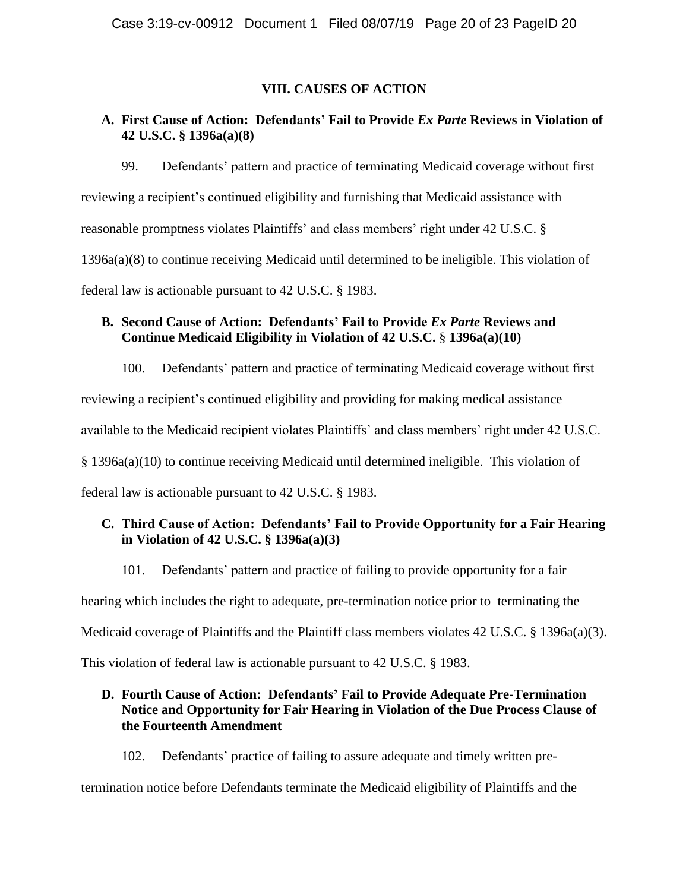# **VIII. CAUSES OF ACTION**

# **A. First Cause of Action: Defendants' Fail to Provide** *Ex Parte* **Reviews in Violation of 42 U.S.C. § 1396a(a)(8)**

99. Defendants' pattern and practice of terminating Medicaid coverage without first reviewing a recipient's continued eligibility and furnishing that Medicaid assistance with reasonable promptness violates Plaintiffs' and class members' right under 42 U.S.C. § 1396a(a)(8) to continue receiving Medicaid until determined to be ineligible. This violation of federal law is actionable pursuant to 42 U.S.C. § 1983.

# **B. Second Cause of Action: Defendants' Fail to Provide** *Ex Parte* **Reviews and Continue Medicaid Eligibility in Violation of 42 U.S.C.** § **1396a(a)(10)**

100. Defendants' pattern and practice of terminating Medicaid coverage without first

reviewing a recipient's continued eligibility and providing for making medical assistance

available to the Medicaid recipient violates Plaintiffs' and class members' right under 42 U.S.C.

§ 1396a(a)(10) to continue receiving Medicaid until determined ineligible. This violation of

federal law is actionable pursuant to 42 U.S.C. § 1983.

# **C. Third Cause of Action: Defendants' Fail to Provide Opportunity for a Fair Hearing in Violation of 42 U.S.C. § 1396a(a)(3)**

101. Defendants' pattern and practice of failing to provide opportunity for a fair

hearing which includes the right to adequate, pre-termination notice prior to terminating the

Medicaid coverage of Plaintiffs and the Plaintiff class members violates 42 U.S.C. § 1396a(a)(3).

This violation of federal law is actionable pursuant to 42 U.S.C. § 1983.

# **D. Fourth Cause of Action: Defendants' Fail to Provide Adequate Pre-Termination Notice and Opportunity for Fair Hearing in Violation of the Due Process Clause of the Fourteenth Amendment**

102. Defendants' practice of failing to assure adequate and timely written pre-

termination notice before Defendants terminate the Medicaid eligibility of Plaintiffs and the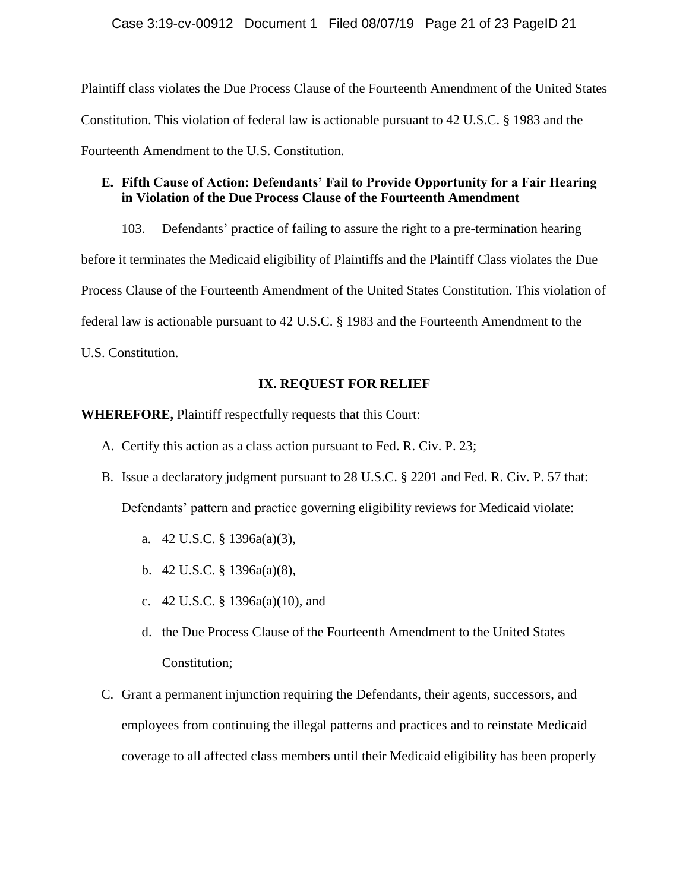Plaintiff class violates the Due Process Clause of the Fourteenth Amendment of the United States Constitution. This violation of federal law is actionable pursuant to 42 U.S.C. § 1983 and the Fourteenth Amendment to the U.S. Constitution.

# **E. Fifth Cause of Action: Defendants' Fail to Provide Opportunity for a Fair Hearing in Violation of the Due Process Clause of the Fourteenth Amendment**

103. Defendants' practice of failing to assure the right to a pre-termination hearing before it terminates the Medicaid eligibility of Plaintiffs and the Plaintiff Class violates the Due Process Clause of the Fourteenth Amendment of the United States Constitution. This violation of federal law is actionable pursuant to 42 U.S.C. § 1983 and the Fourteenth Amendment to the U.S. Constitution.

# **IX. REQUEST FOR RELIEF**

**WHEREFORE,** Plaintiff respectfully requests that this Court:

- A. Certify this action as a class action pursuant to Fed. R. Civ. P. 23;
- B. Issue a declaratory judgment pursuant to 28 U.S.C. § 2201 and Fed. R. Civ. P. 57 that: Defendants' pattern and practice governing eligibility reviews for Medicaid violate:
	- a. 42 U.S.C. § 1396a(a)(3),
	- b. 42 U.S.C. § 1396a(a)(8),
	- c. 42 U.S.C. § 1396a(a)(10), and
	- d. the Due Process Clause of the Fourteenth Amendment to the United States Constitution;
- C. Grant a permanent injunction requiring the Defendants, their agents, successors, and employees from continuing the illegal patterns and practices and to reinstate Medicaid coverage to all affected class members until their Medicaid eligibility has been properly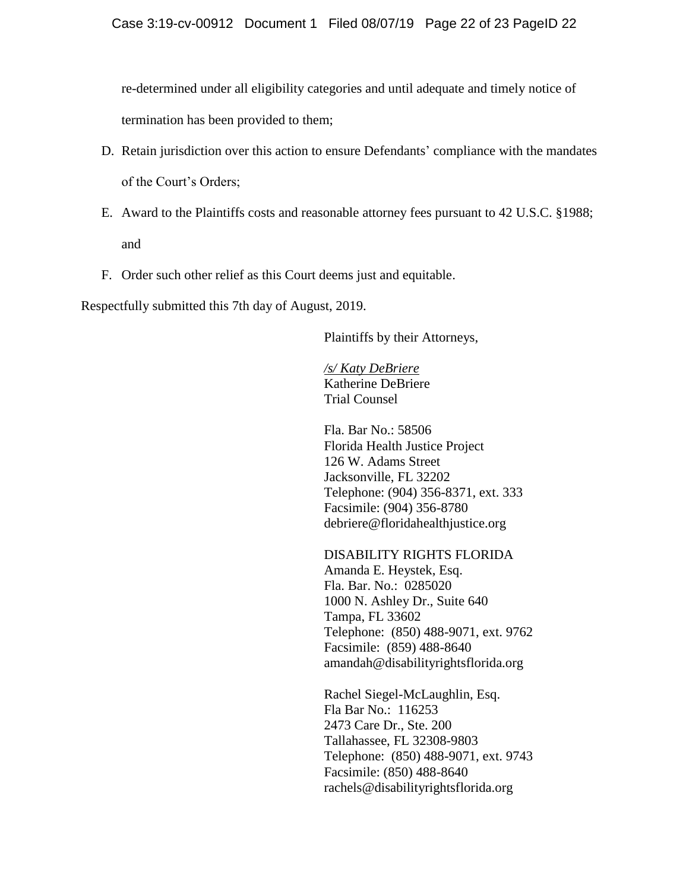re-determined under all eligibility categories and until adequate and timely notice of termination has been provided to them;

- D. Retain jurisdiction over this action to ensure Defendants' compliance with the mandates of the Court's Orders;
- E. Award to the Plaintiffs costs and reasonable attorney fees pursuant to 42 U.S.C. §1988; and
- F. Order such other relief as this Court deems just and equitable.

Respectfully submitted this 7th day of August, 2019.

Plaintiffs by their Attorneys,

*/s/ Katy DeBriere*  Katherine DeBriere Trial Counsel

Fla. Bar No.: 58506 Florida Health Justice Project 126 W. Adams Street Jacksonville, FL 32202 Telephone: (904) 356-8371, ext. 333 Facsimile: (904) 356-8780 debriere@floridahealthjustice.org

DISABILITY RIGHTS FLORIDA Amanda E. Heystek, Esq. Fla. Bar. No.: 0285020 1000 N. Ashley Dr., Suite 640 Tampa, FL 33602 Telephone: (850) 488-9071, ext. 9762 Facsimile: (859) 488-8640 amandah@disabilityrightsflorida.org

Rachel Siegel-McLaughlin, Esq. Fla Bar No.: 116253 2473 Care Dr., Ste. 200 Tallahassee, FL 32308-9803 Telephone: (850) 488-9071, ext. 9743 Facsimile: (850) 488-8640 rachels@disabilityrightsflorida.org